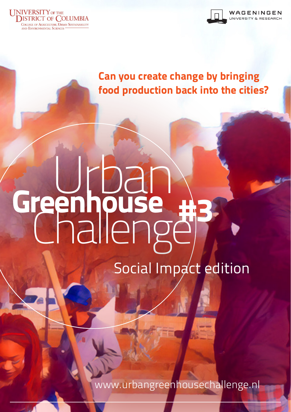



Can you create change by bringing food production back into the cities?

# Greenhouse reennouse #3

Social Impact edition

www.urbangreenhousechallenge.nl